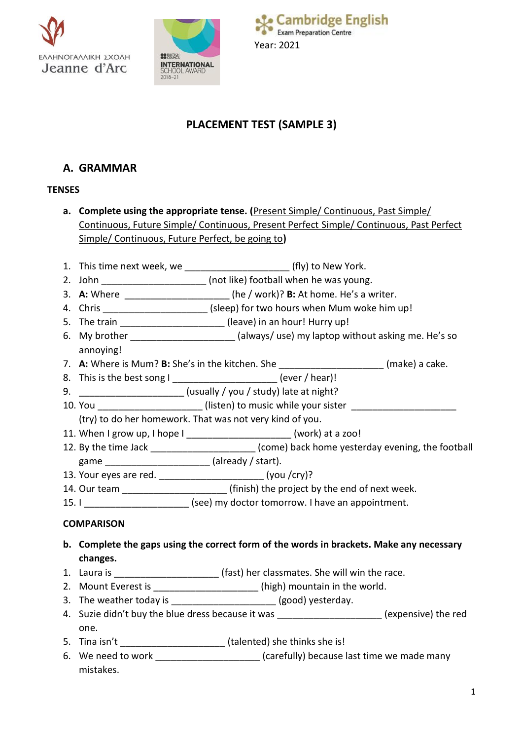



# **PLACEMENT TEST (SAMPLE 3)**

## **A. GRAMMAR**

## **TENSES**

- **a. Complete using the appropriate tense. (**Present Simple/ Continuous, Past Simple/ Continuous, Future Simple/ Continuous, Present Perfect Simple/ Continuous, Past Perfect Simple/ Continuous, Future Perfect, be going to**)**
- 1. This time next week, we \_\_\_\_\_\_\_\_\_\_\_\_\_\_\_\_\_\_\_\_\_\_\_\_\_\_\_ (fly) to New York.
- 2. John  $($ not like) football when he was young.
- 3. **A:** Where  $\qquad \qquad$  (he / work)? **B:** At home. He's a writer.
- 4. Chris \_\_\_\_\_\_\_\_\_\_\_\_\_\_\_\_\_\_\_\_\_\_\_\_ (sleep) for two hours when Mum woke him up!
- 5. The train **Example 20** (leave) in an hour! Hurry up!
- 6. My brother \_\_\_\_\_\_\_\_\_\_\_\_\_\_\_\_\_\_\_\_ (always/ use) my laptop without asking me. He's so annoying!
- 7. **A:** Where is Mum? **B:** She's in the kitchen. She **witch and the contract of the cake.**
- 8. This is the best song I and in the solution of the lever / hear)!
- 9. \_\_\_\_\_\_\_\_\_\_\_\_\_\_\_\_\_\_\_\_ (usually / you / study) late at night?
- 10. You can allow the setting (listen) to music while your sister  $\sim$ 
	- (try) to do her homework. That was not very kind of you.
- 11. When I grow up, I hope I \_\_\_\_\_\_\_\_\_\_\_\_\_\_\_\_\_\_\_\_ (work) at a zoo!
- 12. By the time Jack \_\_\_\_\_\_\_\_\_\_\_\_\_\_\_\_\_\_\_\_\_\_\_ (come) back home yesterday evening, the football
- game \_\_\_\_\_\_\_\_\_\_\_\_\_\_\_\_\_\_\_\_\_\_\_ (already / start).
- 13. Your eyes are red. \_\_\_\_\_\_\_\_\_\_\_\_\_\_\_\_\_\_\_\_ (you /cry)?
- 14. Our team \_\_\_\_\_\_\_\_\_\_\_\_\_\_\_\_\_\_\_\_ (finish) the project by the end of next week.
- 15. I \_\_\_\_\_\_\_\_\_\_\_\_\_\_\_\_\_\_\_\_\_\_\_\_ (see) my doctor tomorrow. I have an appointment.

## **COMPARISON**

- **b. Complete the gaps using the correct form of the words in brackets. Make any necessary changes.**
- 1. Laura is **Exercise 2.1** (fast) her classmates. She will win the race.
- 2. Mount Everest is \_\_\_\_\_\_\_\_\_\_\_\_\_\_\_\_\_\_\_\_\_(high) mountain in the world.
- 3. The weather today is \_\_\_\_\_\_\_\_\_\_\_\_\_\_\_\_\_\_\_\_\_\_ (good) yesterday.
- 4. Suzie didn't buy the blue dress because it was \_\_\_\_\_\_\_\_\_\_\_\_\_\_\_\_\_\_\_\_\_(expensive) the red one.
- 5. Tina isn't \_\_\_\_\_\_\_\_\_\_\_\_\_\_\_\_\_\_\_\_ (talented) she thinks she is!
- 6. We need to work \_\_\_\_\_\_\_\_\_\_\_\_\_\_\_\_\_\_\_\_\_\_\_ (carefully) because last time we made many mistakes.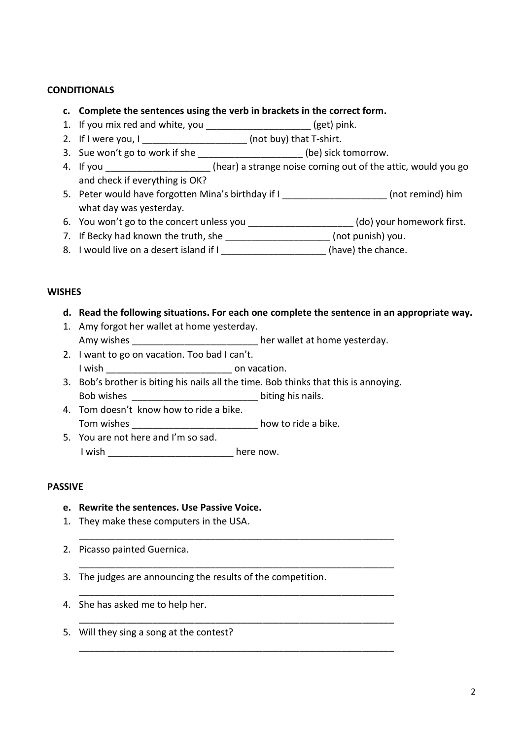### **CONDITIONALS**

- **c. Complete the sentences using the verb in brackets in the correct form.**
- 1. If you mix red and white, you \_\_\_\_\_\_\_\_\_\_\_\_\_\_\_\_\_\_\_\_ (get) pink.
- 2. If I were you,  $I_{\_$
- 3. Sue won't go to work if she \_\_\_\_\_\_\_\_\_\_\_\_\_\_\_\_\_\_\_\_\_\_(be) sick tomorrow.
- 4. If you **the act of the strange noise coming out of the attic, would you go** and check if everything is OK?
- 5. Peter would have forgotten Mina's birthday if I can be more more mind) him what day was yesterday.
- 6. You won't go to the concert unless you \_\_\_\_\_\_\_\_\_\_\_\_\_\_\_\_\_\_\_\_\_(do) your homework first.
- 7. If Becky had known the truth, she \_\_\_\_\_\_\_\_\_\_\_\_\_\_\_\_\_\_\_\_\_(not punish) you.
- 8. I would live on a desert island if I \_\_\_\_\_\_\_\_\_\_\_\_\_\_\_\_\_\_\_\_(have) the chance.

### **WISHES**

- **d. Read the following situations. For each one complete the sentence in an appropriate way.**
- 1. Amy forgot her wallet at home yesterday. Amy wishes \_\_\_\_\_\_\_\_\_\_\_\_\_\_\_\_\_\_\_\_\_\_\_\_\_ her wallet at home yesterday.
- 2. I want to go on vacation. Too bad I can't. I wish  $\qquad \qquad \qquad$  on vacation.
- 3. Bob's brother is biting his nails all the time. Bob thinks that this is annoying. Bob wishes **EXECUTE:**  $\frac{1}{2}$  biting his nails.

\_\_\_\_\_\_\_\_\_\_\_\_\_\_\_\_\_\_\_\_\_\_\_\_\_\_\_\_\_\_\_\_\_\_\_\_\_\_\_\_\_\_\_\_\_\_\_\_\_\_\_\_\_\_\_\_\_\_\_\_

\_\_\_\_\_\_\_\_\_\_\_\_\_\_\_\_\_\_\_\_\_\_\_\_\_\_\_\_\_\_\_\_\_\_\_\_\_\_\_\_\_\_\_\_\_\_\_\_\_\_\_\_\_\_\_\_\_\_\_\_

\_\_\_\_\_\_\_\_\_\_\_\_\_\_\_\_\_\_\_\_\_\_\_\_\_\_\_\_\_\_\_\_\_\_\_\_\_\_\_\_\_\_\_\_\_\_\_\_\_\_\_\_\_\_\_\_\_\_\_\_

\_\_\_\_\_\_\_\_\_\_\_\_\_\_\_\_\_\_\_\_\_\_\_\_\_\_\_\_\_\_\_\_\_\_\_\_\_\_\_\_\_\_\_\_\_\_\_\_\_\_\_\_\_\_\_\_\_\_\_\_

\_\_\_\_\_\_\_\_\_\_\_\_\_\_\_\_\_\_\_\_\_\_\_\_\_\_\_\_\_\_\_\_\_\_\_\_\_\_\_\_\_\_\_\_\_\_\_\_\_\_\_\_\_\_\_\_\_\_\_\_

- 4. Tom doesn't know how to ride a bike. Tom wishes \_\_\_\_\_\_\_\_\_\_\_\_\_\_\_\_\_\_\_\_\_\_\_\_ how to ride a bike.
- 5. You are not here and I'm so sad. I wish \_\_\_\_\_\_\_\_\_\_\_\_\_\_\_\_\_\_\_\_\_\_\_\_\_\_\_\_ here now.

## **PASSIVE**

- **e. Rewrite the sentences. Use Passive Voice.**
- 1. They make these computers in the USA.
- 2. Picasso painted Guernica.
- 3. The judges are announcing the results of the competition.
- 4. She has asked me to help her.
- 5. Will they sing a song at the contest?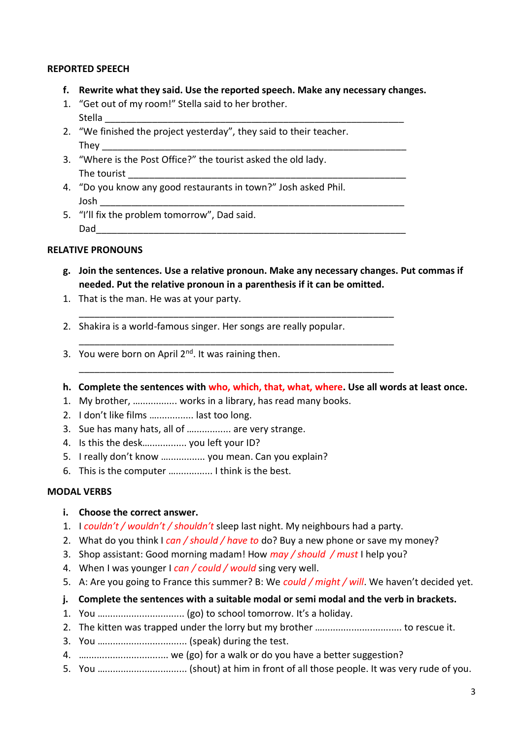### **REPORTED SPEECH**

- **f. Rewrite what they said. Use the reported speech. Make any necessary changes.**
- 1. "Get out of my room!" Stella said to her brother. Stella \_\_\_\_\_\_\_\_\_\_\_\_\_\_\_\_\_\_\_\_\_\_\_\_\_\_\_\_\_\_\_\_\_\_\_\_\_\_\_\_\_\_\_\_\_\_\_\_\_\_\_\_\_\_\_\_\_
- 2. "We finished the project yesterday", they said to their teacher. They \_\_\_\_\_\_\_\_\_\_\_\_\_\_\_\_\_\_\_\_\_\_\_\_\_\_\_\_\_\_\_\_\_\_\_\_\_\_\_\_\_\_\_\_\_\_\_\_\_\_\_\_\_\_\_\_\_\_
- 3. "Where is the Post Office?" the tourist asked the old lady. The tourist
- 4. "Do you know any good restaurants in town?" Josh asked Phil. Josh \_\_\_\_\_\_\_\_\_\_\_\_\_\_\_\_\_\_\_\_\_\_\_\_\_\_\_\_\_\_\_\_\_\_\_\_\_\_\_\_\_\_\_\_\_\_\_\_\_\_\_\_\_\_\_\_\_\_
- 5. "I'll fix the problem tomorrow", Dad said. Dad\_\_\_\_\_\_\_\_\_\_\_\_\_\_\_\_\_\_\_\_\_\_\_\_\_\_\_\_\_\_\_\_\_\_\_\_\_\_\_\_\_\_\_\_\_\_\_\_\_\_\_\_\_\_\_\_\_\_\_

#### **RELATIVE PRONOUNS**

- **g. Join the sentences. Use a relative pronoun. Make any necessary changes. Put commas if needed. Put the relative pronoun in a parenthesis if it can be omitted.**
- 1. That is the man. He was at your party.
- 2. Shakira is a world-famous singer. Her songs are really popular.

\_\_\_\_\_\_\_\_\_\_\_\_\_\_\_\_\_\_\_\_\_\_\_\_\_\_\_\_\_\_\_\_\_\_\_\_\_\_\_\_\_\_\_\_\_\_\_\_\_\_\_\_\_\_\_\_\_\_\_\_

\_\_\_\_\_\_\_\_\_\_\_\_\_\_\_\_\_\_\_\_\_\_\_\_\_\_\_\_\_\_\_\_\_\_\_\_\_\_\_\_\_\_\_\_\_\_\_\_\_\_\_\_\_\_\_\_\_\_\_\_

\_\_\_\_\_\_\_\_\_\_\_\_\_\_\_\_\_\_\_\_\_\_\_\_\_\_\_\_\_\_\_\_\_\_\_\_\_\_\_\_\_\_\_\_\_\_\_\_\_\_\_\_\_\_\_\_\_\_\_\_

- 3. You were born on April  $2<sup>nd</sup>$ . It was raining then.
- **h. Complete the sentences with who, which, that, what, where. Use all words at least once.**
- 1. My brother, ….............. works in a library, has read many books.
- 2. I don't like films ….............. last too long.
- 3. Sue has many hats, all of ................. are very strange.
- 4. Is this the desk….............. you left your ID?
- 5. I really don't know ….............. you mean. Can you explain?
- 6. This is the computer ….............. I think is the best.

#### **MODAL VERBS**

- **i. Choose the correct answer.**
- 1. I *couldn't / wouldn't / shouldn't* sleep last night. My neighbours had a party.
- 2. What do you think I *can / should / have to* do? Buy a new phone or save my money?
- 3. Shop assistant: Good morning madam! How *may / should / must* I help you?
- 4. When I was younger I *can / could / would* sing very well.
- 5. A: Are you going to France this summer? B: We *could / might / will*. We haven't decided yet.
- **j. Complete the sentences with a suitable modal or semi modal and the verb in brackets.**
- 1. You ….............................. (go) to school tomorrow. It's a holiday.
- 2. The kitten was trapped under the lorry but my brother ….............................. to rescue it.
- 3. You …............................... (speak) during the test.
- 4. …............................... we (go) for a walk or do you have a better suggestion?
- 5. You …............................... (shout) at him in front of all those people. It was very rude of you.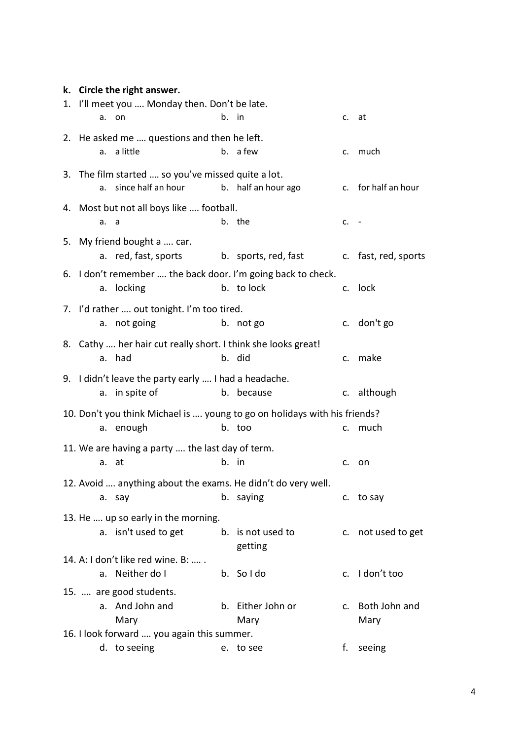## **k. Circle the right answer.**

|                                                                           |                                                               | 1. I'll meet you  Monday then. Don't be late. |       |                           |        |                          |
|---------------------------------------------------------------------------|---------------------------------------------------------------|-----------------------------------------------|-------|---------------------------|--------|--------------------------|
|                                                                           | а. –                                                          | on                                            | b. in |                           | c. at  |                          |
|                                                                           | 2. He asked me  questions and then he left.                   |                                               |       |                           |        |                          |
|                                                                           | а.                                                            | a little                                      |       | b. a few                  |        | c. much                  |
|                                                                           | 3. The film started  so you've missed quite a lot.            |                                               |       |                           |        |                          |
|                                                                           | а.                                                            | since half an hour                            |       | b. half an hour ago       |        | c. for half an hour      |
|                                                                           | 4. Most but not all boys like  football.                      |                                               |       |                           |        |                          |
|                                                                           | a. a                                                          |                                               |       | b. the                    | $c. -$ |                          |
|                                                                           | 5. My friend bought a  car.                                   |                                               |       |                           |        |                          |
|                                                                           |                                                               | a. red, fast, sports                          |       | b. sports, red, fast      |        | c. fast, red, sports     |
|                                                                           | 6. I don't remember  the back door. I'm going back to check.  |                                               |       |                           |        |                          |
|                                                                           |                                                               | a. locking                                    |       | b. to lock                |        | c. lock                  |
|                                                                           | 7. I'd rather  out tonight. I'm too tired.                    |                                               |       |                           |        |                          |
|                                                                           | а.                                                            | not going                                     |       | b. not go                 |        | c. don't go              |
|                                                                           | 8. Cathy  her hair cut really short. I think she looks great! |                                               |       |                           |        |                          |
|                                                                           |                                                               | a. had                                        |       | b. did                    |        | c. make                  |
|                                                                           | 9. I didn't leave the party early  I had a headache.          |                                               |       |                           |        |                          |
|                                                                           |                                                               | a. in spite of                                |       | b. because                |        | c. although              |
| 10. Don't you think Michael is  young to go on holidays with his friends? |                                                               |                                               |       |                           |        |                          |
|                                                                           |                                                               | a. enough                                     |       | b. too                    |        | c. much                  |
| 11. We are having a party  the last day of term.                          |                                                               |                                               |       |                           |        |                          |
|                                                                           |                                                               | a. at                                         | b. in |                           |        | c. on                    |
| 12. Avoid  anything about the exams. He didn't do very well.              |                                                               |                                               |       |                           |        |                          |
|                                                                           |                                                               | a. say                                        |       | b. saying                 |        | c. to say                |
| 13. He  up so early in the morning.                                       |                                                               |                                               |       |                           |        |                          |
|                                                                           |                                                               | a. isn't used to get                          |       | b. is not used to         |        | c. not used to get       |
|                                                                           |                                                               |                                               |       | getting                   |        |                          |
|                                                                           |                                                               | 14. A: I don't like red wine. B:              |       |                           |        |                          |
|                                                                           |                                                               | a. Neither do I                               |       | b. Soldo                  |        | c. I don't too           |
|                                                                           |                                                               | 15.  are good students.                       |       |                           |        |                          |
|                                                                           |                                                               | a. And John and<br>Mary                       |       | b. Either John or<br>Mary |        | c. Both John and<br>Mary |
| 16. I look forward  you again this summer.                                |                                                               |                                               |       |                           |        |                          |
|                                                                           |                                                               | d. to seeing                                  |       | e. to see                 | f.     | seeing                   |